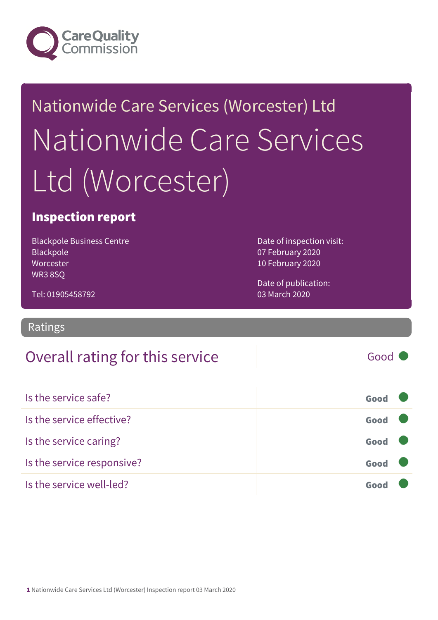

# Nationwide Care Services (Worcester) Ltd Nationwide Care Services Ltd (Worcester)

### Inspection report

Blackpole Business Centre Blackpole Worcester WR3 8SQ

Date of inspection visit: 07 February 2020 10 February 2020

Date of publication: 03 March 2020

Tel: 01905458792

Ratings

### Overall rating for this service and a service of Good

Is the service safe? Good Is the service effective? Good Is the service caring? Good Is the service responsive? Good Is the service well-led? Good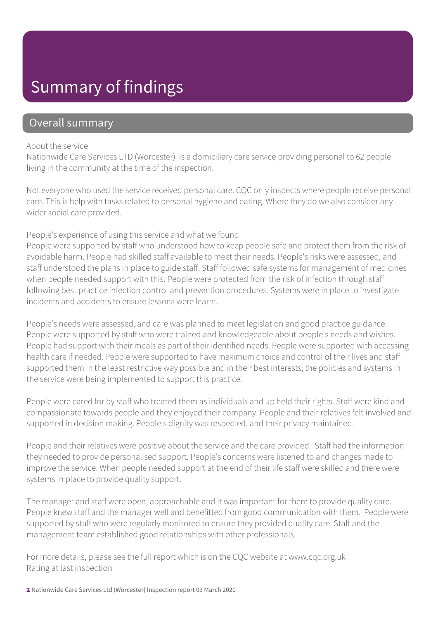### Summary of findings

### Overall summary

#### About the service

Nationwide Care Services LTD (Worcester) is a domiciliary care service providing personal to 62 people living in the community at the time of the inspection.

Not everyone who used the service received personal care. CQC only inspects where people receive personal care. This is help with tasks related to personal hygiene and eating. Where they do we also consider any wider social care provided.

#### People's experience of using this service and what we found

People were supported by staff who understood how to keep people safe and protect them from the risk of avoidable harm. People had skilled staff available to meet their needs. People's risks were assessed, and staff understood the plans in place to guide staff. Staff followed safe systems for management of medicines when people needed support with this. People were protected from the risk of infection through staff following best practice infection control and prevention procedures. Systems were in place to investigate incidents and accidents to ensure lessons were learnt.

People's needs were assessed, and care was planned to meet legislation and good practice guidance. People were supported by staff who were trained and knowledgeable about people's needs and wishes. People had support with their meals as part of their identified needs. People were supported with accessing health care if needed. People were supported to have maximum choice and control of their lives and staff supported them in the least restrictive way possible and in their best interests; the policies and systems in the service were being implemented to support this practice.

People were cared for by staff who treated them as individuals and up held their rights. Staff were kind and compassionate towards people and they enjoyed their company. People and their relatives felt involved and supported in decision making. People's dignity was respected, and their privacy maintained.

People and their relatives were positive about the service and the care provided. Staff had the information they needed to provide personalised support. People's concerns were listened to and changes made to improve the service. When people needed support at the end of their life staff were skilled and there were systems in place to provide quality support.

The manager and staff were open, approachable and it was important for them to provide quality care. People knew staff and the manager well and benefitted from good communication with them. People were supported by staff who were regularly monitored to ensure they provided quality care. Staff and the management team established good relationships with other professionals.

For more details, please see the full report which is on the CQC website at www.cqc.org.uk Rating at last inspection

2 Nationwide Care Services Ltd (Worcester) Inspection report 03 March 2020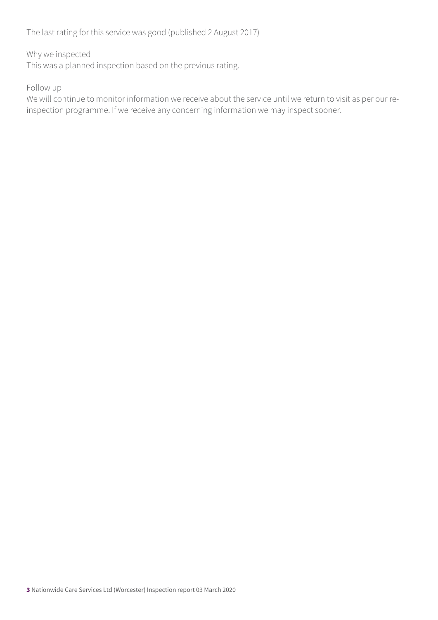The last rating for this service was good (published 2 August 2017)

#### Why we inspected

This was a planned inspection based on the previous rating.

#### Follow up

We will continue to monitor information we receive about the service until we return to visit as per our reinspection programme. If we receive any concerning information we may inspect sooner.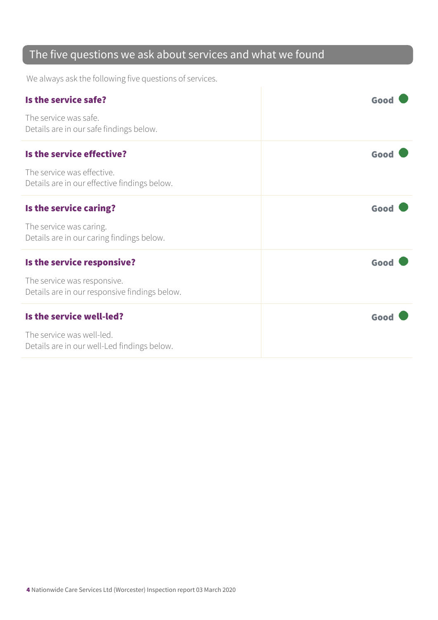### The five questions we ask about services and what we found

We always ask the following five questions of services.

| Is the service safe?                                                         | Good |
|------------------------------------------------------------------------------|------|
| The service was safe.<br>Details are in our safe findings below.             |      |
| Is the service effective?                                                    | Good |
| The service was effective.<br>Details are in our effective findings below.   |      |
| Is the service caring?                                                       | Good |
| The service was caring.<br>Details are in our caring findings below.         |      |
| Is the service responsive?                                                   | Good |
| The service was responsive.<br>Details are in our responsive findings below. |      |
| Is the service well-led?                                                     | Good |
| The service was well-led.<br>Details are in our well-Led findings below.     |      |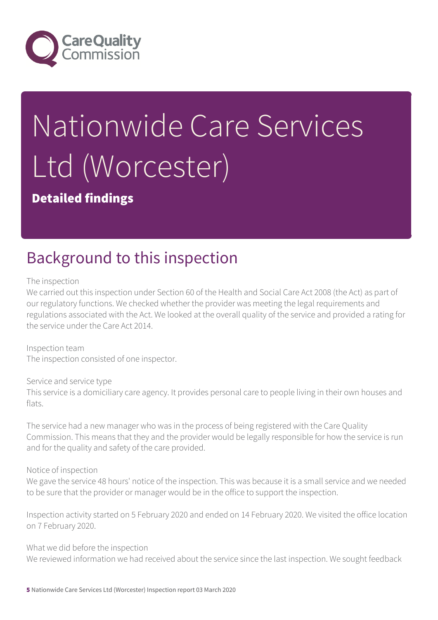

# Nationwide Care Services Ltd (Worcester)

### Detailed findings

# Background to this inspection

The inspection

We carried out this inspection under Section 60 of the Health and Social Care Act 2008 (the Act) as part of our regulatory functions. We checked whether the provider was meeting the legal requirements and regulations associated with the Act. We looked at the overall quality of the service and provided a rating for the service under the Care Act 2014.

Inspection team The inspection consisted of one inspector.

Service and service type This service is a domiciliary care agency. It provides personal care to people living in their own houses and flats.

The service had a new manager who was in the process of being registered with the Care Quality Commission. This means that they and the provider would be legally responsible for how the service is run and for the quality and safety of the care provided.

Notice of inspection

We gave the service 48 hours' notice of the inspection. This was because it is a small service and we needed to be sure that the provider or manager would be in the office to support the inspection.

Inspection activity started on 5 February 2020 and ended on 14 February 2020. We visited the office location on 7 February 2020.

What we did before the inspection We reviewed information we had received about the service since the last inspection. We sought feedback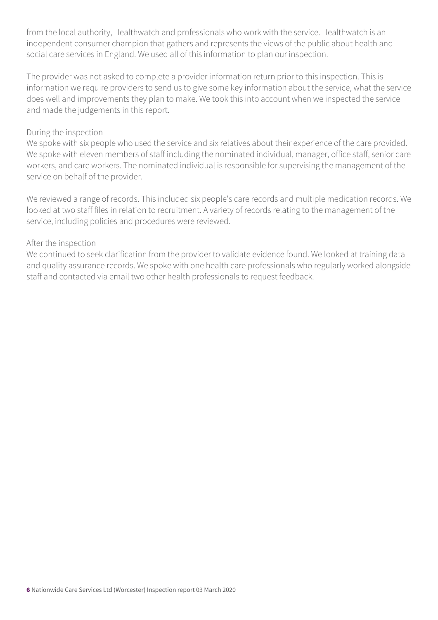from the local authority, Healthwatch and professionals who work with the service. Healthwatch is an independent consumer champion that gathers and represents the views of the public about health and social care services in England. We used all of this information to plan our inspection.

The provider was not asked to complete a provider information return prior to this inspection. This is information we require providers to send us to give some key information about the service, what the service does well and improvements they plan to make. We took this into account when we inspected the service and made the judgements in this report.

#### During the inspection

We spoke with six people who used the service and six relatives about their experience of the care provided. We spoke with eleven members of staff including the nominated individual, manager, office staff, senior care workers, and care workers. The nominated individual is responsible for supervising the management of the service on behalf of the provider.

We reviewed a range of records. This included six people's care records and multiple medication records. We looked at two staff files in relation to recruitment. A variety of records relating to the management of the service, including policies and procedures were reviewed.

#### After the inspection

We continued to seek clarification from the provider to validate evidence found. We looked at training data and quality assurance records. We spoke with one health care professionals who regularly worked alongside staff and contacted via email two other health professionals to request feedback.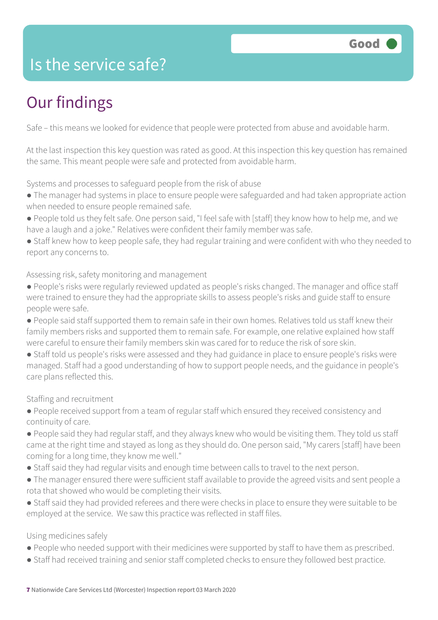### Is the service safe?

# Our findings

Safe – this means we looked for evidence that people were protected from abuse and avoidable harm.

At the last inspection this key question was rated as good. At this inspection this key question has remained the same. This meant people were safe and protected from avoidable harm.

Systems and processes to safeguard people from the risk of abuse

- The manager had systems in place to ensure people were safeguarded and had taken appropriate action when needed to ensure people remained safe.
- People told us they felt safe. One person said, "I feel safe with [staff] they know how to help me, and we have a laugh and a joke." Relatives were confident their family member was safe.
- Staff knew how to keep people safe, they had regular training and were confident with who they needed to report any concerns to.

Assessing risk, safety monitoring and management

- People's risks were regularly reviewed updated as people's risks changed. The manager and office staff were trained to ensure they had the appropriate skills to assess people's risks and guide staff to ensure people were safe.
- People said staff supported them to remain safe in their own homes. Relatives told us staff knew their family members risks and supported them to remain safe. For example, one relative explained how staff were careful to ensure their family members skin was cared for to reduce the risk of sore skin.
- Staff told us people's risks were assessed and they had guidance in place to ensure people's risks were managed. Staff had a good understanding of how to support people needs, and the guidance in people's care plans reflected this.

Staffing and recruitment

- People received support from a team of regular staff which ensured they received consistency and continuity of care.
- People said they had regular staff, and they always knew who would be visiting them. They told us staff came at the right time and stayed as long as they should do. One person said, "My carers [staff] have been coming for a long time, they know me well."
- Staff said they had regular visits and enough time between calls to travel to the next person.
- The manager ensured there were sufficient staff available to provide the agreed visits and sent people a rota that showed who would be completing their visits.
- Staff said they had provided referees and there were checks in place to ensure they were suitable to be employed at the service. We saw this practice was reflected in staff files.

#### Using medicines safely

- People who needed support with their medicines were supported by staff to have them as prescribed.
- Staff had received training and senior staff completed checks to ensure they followed best practice.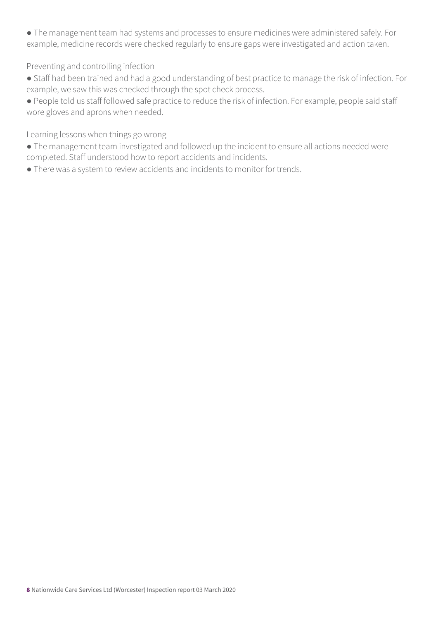● The management team had systems and processes to ensure medicines were administered safely. For example, medicine records were checked regularly to ensure gaps were investigated and action taken.

#### Preventing and controlling infection

● Staff had been trained and had a good understanding of best practice to manage the risk of infection. For example, we saw this was checked through the spot check process.

● People told us staff followed safe practice to reduce the risk of infection. For example, people said staff wore gloves and aprons when needed.

Learning lessons when things go wrong

● The management team investigated and followed up the incident to ensure all actions needed were completed. Staff understood how to report accidents and incidents.

● There was a system to review accidents and incidents to monitor for trends.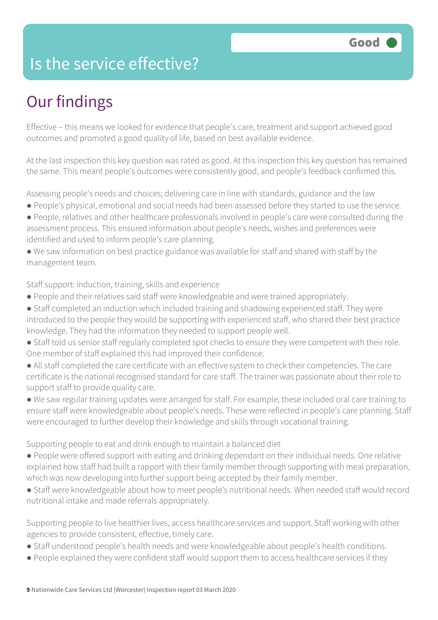### Is the service effective?

# Our findings

Effective – this means we looked for evidence that people's care, treatment and support achieved good outcomes and promoted a good quality of life, based on best available evidence.

At the last inspection this key question was rated as good. At this inspection this key question has remained the same. This meant people's outcomes were consistently good, and people's feedback confirmed this.

Assessing people's needs and choices; delivering care in line with standards, guidance and the law

- People's physical, emotional and social needs had been assessed before they started to use the service.
- People, relatives and other healthcare professionals involved in people's care were consulted during the assessment process. This ensured information about people's needs, wishes and preferences were identified and used to inform people's care planning.
- We saw information on best practice guidance was available for staff and shared with staff by the management team.

Staff support: induction, training, skills and experience

- People and their relatives said staff were knowledgeable and were trained appropriately.
- Staff completed an induction which included training and shadowing experienced staff. They were introduced to the people they would be supporting with experienced staff, who shared their best practice knowledge. They had the information they needed to support people well.
- Staff told us senior staff regularly completed spot checks to ensure they were competent with their role. One member of staff explained this had improved their confidence.
- All staff completed the care certificate with an effective system to check their competencies. The care certificate is the national recognised standard for care staff. The trainer was passionate about their role to support staff to provide quality care.
- We saw regular training updates were arranged for staff. For example, these included oral care training to ensure staff were knowledgeable about people's needs. These were reflected in people's care planning. Staff were encouraged to further develop their knowledge and skills through vocational training.

Supporting people to eat and drink enough to maintain a balanced diet

- People were offered support with eating and drinking dependant on their individual needs. One relative explained how staff had built a rapport with their family member through supporting with meal preparation, which was now developing into further support being accepted by their family member.
- Staff were knowledgeable about how to meet people's nutritional needs. When needed staff would record nutritional intake and made referrals appropriately.

Supporting people to live healthier lives, access healthcare services and support. Staff working with other agencies to provide consistent, effective, timely care.

- Staff understood people's health needs and were knowledgeable about people's health conditions.
- People explained they were confident staff would support them to access healthcare services if they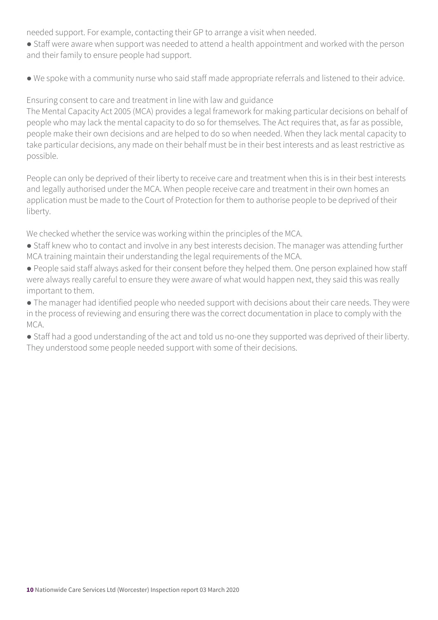needed support. For example, contacting their GP to arrange a visit when needed.

- Staff were aware when support was needed to attend a health appointment and worked with the person and their family to ensure people had support.
- We spoke with a community nurse who said staff made appropriate referrals and listened to their advice.

Ensuring consent to care and treatment in line with law and guidance

The Mental Capacity Act 2005 (MCA) provides a legal framework for making particular decisions on behalf of people who may lack the mental capacity to do so for themselves. The Act requires that, as far as possible, people make their own decisions and are helped to do so when needed. When they lack mental capacity to take particular decisions, any made on their behalf must be in their best interests and as least restrictive as possible.

People can only be deprived of their liberty to receive care and treatment when this is in their best interests and legally authorised under the MCA. When people receive care and treatment in their own homes an application must be made to the Court of Protection for them to authorise people to be deprived of their liberty.

We checked whether the service was working within the principles of the MCA.

- Staff knew who to contact and involve in any best interests decision. The manager was attending further MCA training maintain their understanding the legal requirements of the MCA.
- People said staff always asked for their consent before they helped them. One person explained how staff were always really careful to ensure they were aware of what would happen next, they said this was really important to them.
- The manager had identified people who needed support with decisions about their care needs. They were in the process of reviewing and ensuring there was the correct documentation in place to comply with the MCA.
- Staff had a good understanding of the act and told us no-one they supported was deprived of their liberty. They understood some people needed support with some of their decisions.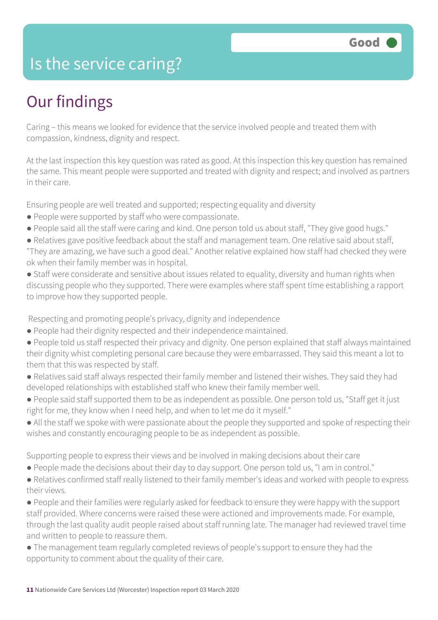### Is the service caring?

## Our findings

Caring – this means we looked for evidence that the service involved people and treated them with compassion, kindness, dignity and respect.

At the last inspection this key question was rated as good. At this inspection this key question has remained the same. This meant people were supported and treated with dignity and respect; and involved as partners in their care.

Ensuring people are well treated and supported; respecting equality and diversity

- People were supported by staff who were compassionate.
- People said all the staff were caring and kind. One person told us about staff, "They give good hugs."
- Relatives gave positive feedback about the staff and management team. One relative said about staff, "They are amazing, we have such a good deal." Another relative explained how staff had checked they were ok when their family member was in hospital.
- Staff were considerate and sensitive about issues related to equality, diversity and human rights when discussing people who they supported. There were examples where staff spent time establishing a rapport to improve how they supported people.

Respecting and promoting people's privacy, dignity and independence

- People had their dignity respected and their independence maintained.
- People told us staff respected their privacy and dignity. One person explained that staff always maintained their dignity whist completing personal care because they were embarrassed. They said this meant a lot to them that this was respected by staff.
- Relatives said staff always respected their family member and listened their wishes. They said they had developed relationships with established staff who knew their family member well.
- People said staff supported them to be as independent as possible. One person told us, "Staff get it just right for me, they know when I need help, and when to let me do it myself."
- All the staff we spoke with were passionate about the people they supported and spoke of respecting their wishes and constantly encouraging people to be as independent as possible.

Supporting people to express their views and be involved in making decisions about their care

- People made the decisions about their day to day support. One person told us, "I am in control."
- Relatives confirmed staff really listened to their family member's ideas and worked with people to express their views.
- People and their families were regularly asked for feedback to ensure they were happy with the support staff provided. Where concerns were raised these were actioned and improvements made. For example, through the last quality audit people raised about staff running late. The manager had reviewed travel time and written to people to reassure them.
- The management team regularly completed reviews of people's support to ensure they had the opportunity to comment about the quality of their care.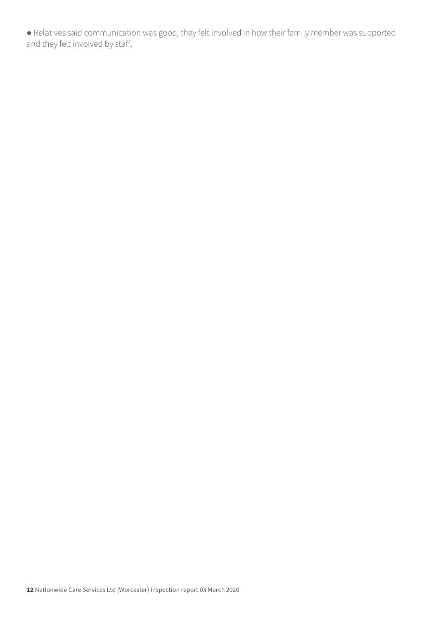● Relatives said communication was good, they felt involved in how their family member was supported and they felt involved by staff.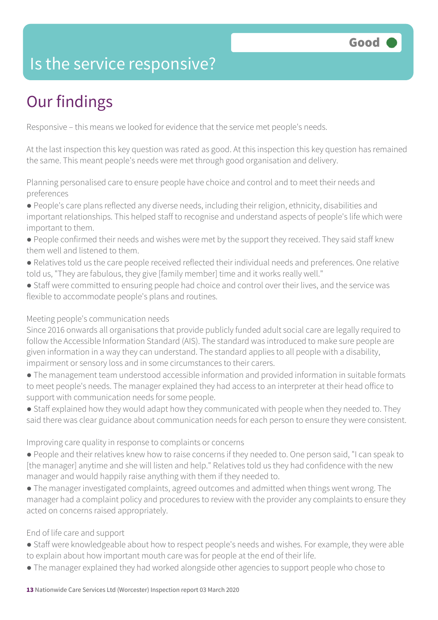### Is the service responsive?

# Our findings

Responsive – this means we looked for evidence that the service met people's needs.

At the last inspection this key question was rated as good. At this inspection this key question has remained the same. This meant people's needs were met through good organisation and delivery.

Planning personalised care to ensure people have choice and control and to meet their needs and preferences

- People's care plans reflected any diverse needs, including their religion, ethnicity, disabilities and important relationships. This helped staff to recognise and understand aspects of people's life which were important to them.
- People confirmed their needs and wishes were met by the support they received. They said staff knew them well and listened to them.
- Relatives told us the care people received reflected their individual needs and preferences. One relative told us, "They are fabulous, they give [family member] time and it works really well."
- Staff were committed to ensuring people had choice and control over their lives, and the service was flexible to accommodate people's plans and routines.

#### Meeting people's communication needs

Since 2016 onwards all organisations that provide publicly funded adult social care are legally required to follow the Accessible Information Standard (AIS). The standard was introduced to make sure people are given information in a way they can understand. The standard applies to all people with a disability, impairment or sensory loss and in some circumstances to their carers.

- The management team understood accessible information and provided information in suitable formats to meet people's needs. The manager explained they had access to an interpreter at their head office to support with communication needs for some people.
- Staff explained how they would adapt how they communicated with people when they needed to. They said there was clear guidance about communication needs for each person to ensure they were consistent.

#### Improving care quality in response to complaints or concerns

- People and their relatives knew how to raise concerns if they needed to. One person said, "I can speak to [the manager] anytime and she will listen and help." Relatives told us they had confidence with the new manager and would happily raise anything with them if they needed to.
- The manager investigated complaints, agreed outcomes and admitted when things went wrong. The manager had a complaint policy and procedures to review with the provider any complaints to ensure they acted on concerns raised appropriately.

#### End of life care and support

- Staff were knowledgeable about how to respect people's needs and wishes. For example, they were able to explain about how important mouth care was for people at the end of their life.
- The manager explained they had worked alongside other agencies to support people who chose to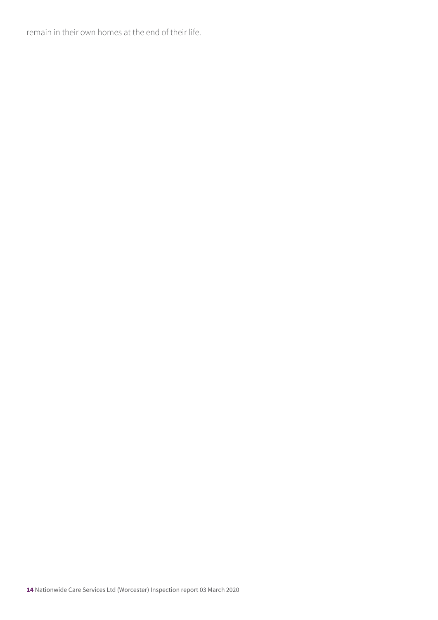remain in their own homes at the end of their life.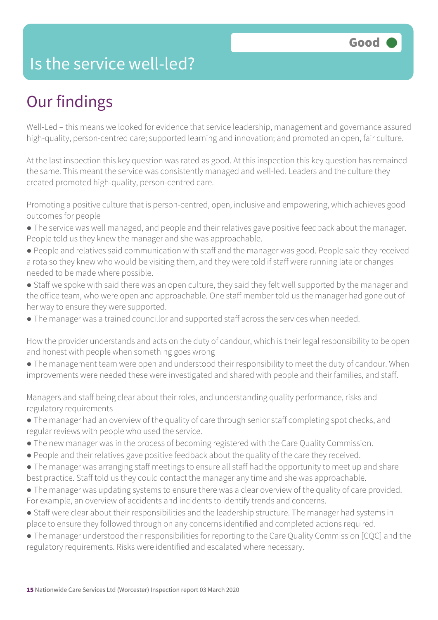### Is the service well-led?

# Our findings

Well-Led – this means we looked for evidence that service leadership, management and governance assured high-quality, person-centred care; supported learning and innovation; and promoted an open, fair culture.

At the last inspection this key question was rated as good. At this inspection this key question has remained the same. This meant the service was consistently managed and well-led. Leaders and the culture they created promoted high-quality, person-centred care.

Promoting a positive culture that is person-centred, open, inclusive and empowering, which achieves good outcomes for people

- The service was well managed, and people and their relatives gave positive feedback about the manager. People told us they knew the manager and she was approachable.
- People and relatives said communication with staff and the manager was good. People said they received a rota so they knew who would be visiting them, and they were told if staff were running late or changes needed to be made where possible.
- Staff we spoke with said there was an open culture, they said they felt well supported by the manager and the office team, who were open and approachable. One staff member told us the manager had gone out of her way to ensure they were supported.
- The manager was a trained councillor and supported staff across the services when needed.

How the provider understands and acts on the duty of candour, which is their legal responsibility to be open and honest with people when something goes wrong

● The management team were open and understood their responsibility to meet the duty of candour. When improvements were needed these were investigated and shared with people and their families, and staff.

Managers and staff being clear about their roles, and understanding quality performance, risks and regulatory requirements

- The manager had an overview of the quality of care through senior staff completing spot checks, and regular reviews with people who used the service.
- The new manager was in the process of becoming registered with the Care Quality Commission.
- People and their relatives gave positive feedback about the quality of the care they received.
- The manager was arranging staff meetings to ensure all staff had the opportunity to meet up and share best practice. Staff told us they could contact the manager any time and she was approachable.
- The manager was updating systems to ensure there was a clear overview of the quality of care provided. For example, an overview of accidents and incidents to identify trends and concerns.
- Staff were clear about their responsibilities and the leadership structure. The manager had systems in place to ensure they followed through on any concerns identified and completed actions required.
- The manager understood their responsibilities for reporting to the Care Quality Commission [CQC] and the regulatory requirements. Risks were identified and escalated where necessary.